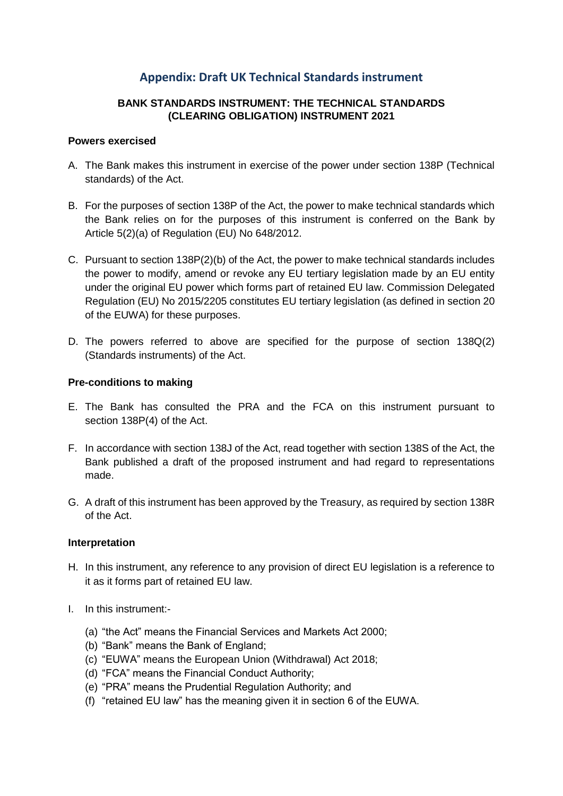### **Appendix: Draft UK Technical Standards instrument**

#### **BANK STANDARDS INSTRUMENT: THE TECHNICAL STANDARDS (CLEARING OBLIGATION) INSTRUMENT 2021**

#### **Powers exercised**

- A. The Bank makes this instrument in exercise of the power under section 138P (Technical standards) of the Act.
- B. For the purposes of section 138P of the Act, the power to make technical standards which the Bank relies on for the purposes of this instrument is conferred on the Bank by Article 5(2)(a) of Regulation (EU) No 648/2012.
- C. Pursuant to section 138P(2)(b) of the Act, the power to make technical standards includes the power to modify, amend or revoke any EU tertiary legislation made by an EU entity under the original EU power which forms part of retained EU law. Commission Delegated Regulation (EU) No 2015/2205 constitutes EU tertiary legislation (as defined in section 20 of the EUWA) for these purposes.
- D. The powers referred to above are specified for the purpose of section 138Q(2) (Standards instruments) of the Act.

#### **Pre-conditions to making**

- E. The Bank has consulted the PRA and the FCA on this instrument pursuant to section 138P(4) of the Act.
- F. In accordance with section 138J of the Act, read together with section 138S of the Act, the Bank published a draft of the proposed instrument and had regard to representations made.
- G. A draft of this instrument has been approved by the Treasury, as required by section 138R of the Act.

#### **Interpretation**

- H. In this instrument, any reference to any provision of direct EU legislation is a reference to it as it forms part of retained EU law.
- I. In this instrument:-
	- (a) "the Act" means the Financial Services and Markets Act 2000;
	- (b) "Bank" means the Bank of England;
	- (c) "EUWA" means the European Union (Withdrawal) Act 2018;
	- (d) "FCA" means the Financial Conduct Authority;
	- (e) "PRA" means the Prudential Regulation Authority; and
	- (f) "retained EU law" has the meaning given it in section 6 of the EUWA.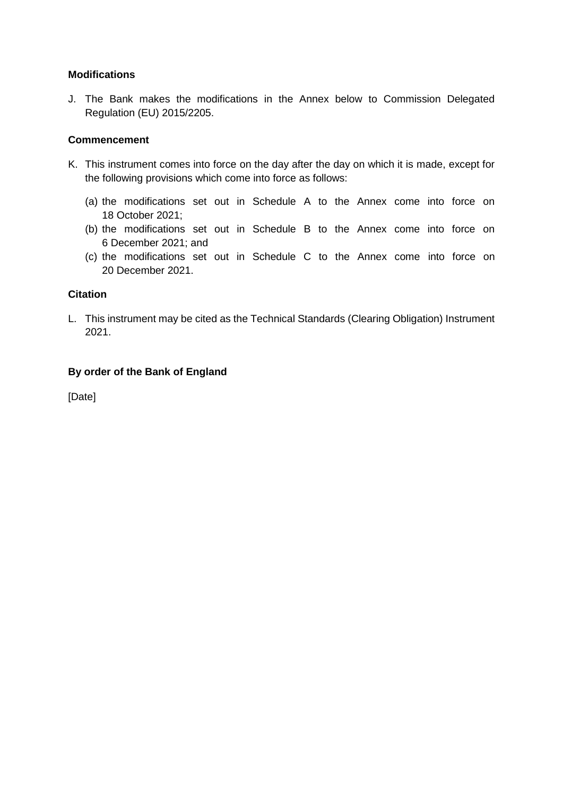#### **Modifications**

J. The Bank makes the modifications in the Annex below to Commission Delegated Regulation (EU) 2015/2205.

#### **Commencement**

- K. This instrument comes into force on the day after the day on which it is made, except for the following provisions which come into force as follows:
	- (a) the modifications set out in Schedule A to the Annex come into force on 18 October 2021;
	- (b) the modifications set out in Schedule B to the Annex come into force on 6 December 2021; and
	- (c) the modifications set out in Schedule C to the Annex come into force on 20 December 2021.

#### **Citation**

L. This instrument may be cited as the Technical Standards (Clearing Obligation) Instrument 2021.

#### **By order of the Bank of England**

[Date]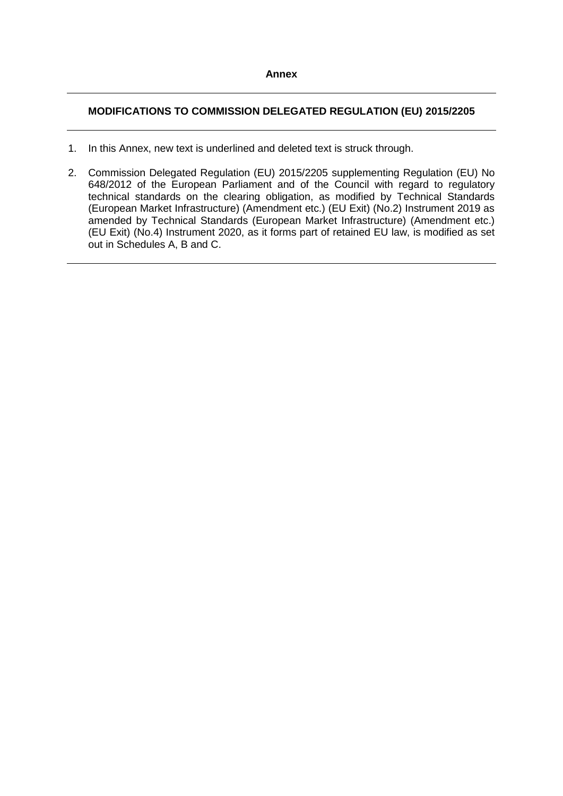#### **MODIFICATIONS TO COMMISSION DELEGATED REGULATION (EU) 2015/2205**

- 1. In this Annex, new text is underlined and deleted text is struck through.
- 2. Commission Delegated Regulation (EU) 2015/2205 supplementing Regulation (EU) No 648/2012 of the European Parliament and of the Council with regard to regulatory technical standards on the clearing obligation, as modified by Technical Standards (European Market Infrastructure) (Amendment etc.) (EU Exit) (No.2) Instrument 2019 as amended by Technical Standards (European Market Infrastructure) (Amendment etc.) (EU Exit) (No.4) Instrument 2020, as it forms part of retained EU law, is modified as set out in Schedules A, B and C.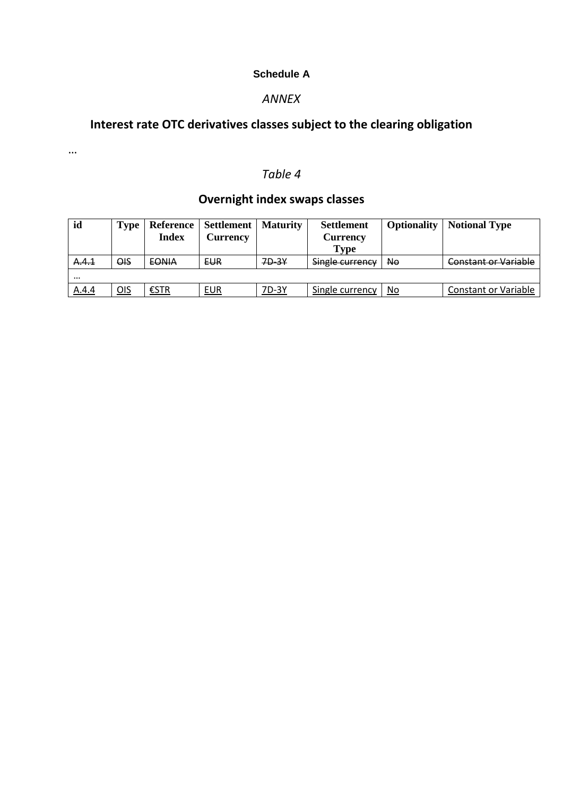### **Schedule A**

### *ANNEX*

# **Interest rate OTC derivatives classes subject to the clearing obligation**

…

### *Table 4*

# **Overnight index swaps classes**

| id       | Type       | <b>Index</b> | Reference   Settlement<br><b>Currency</b> | <b>Maturity</b> | <b>Settlement</b><br>Currency<br><b>Type</b> | Optionality | <b>Notional Type</b>        |
|----------|------------|--------------|-------------------------------------------|-----------------|----------------------------------------------|-------------|-----------------------------|
| A.4.1    | ΘIS        | <b>EONIA</b> | <b>EUR</b>                                | 7D-3Y           | Single currency                              | No          | <b>Constant or Variable</b> |
| $\cdots$ |            |              |                                           |                 |                                              |             |                             |
| A.4.4    | <u>OIS</u> | €STR         | <b>EUR</b>                                | 7D-3Y           | Single currency                              | No          | <b>Constant or Variable</b> |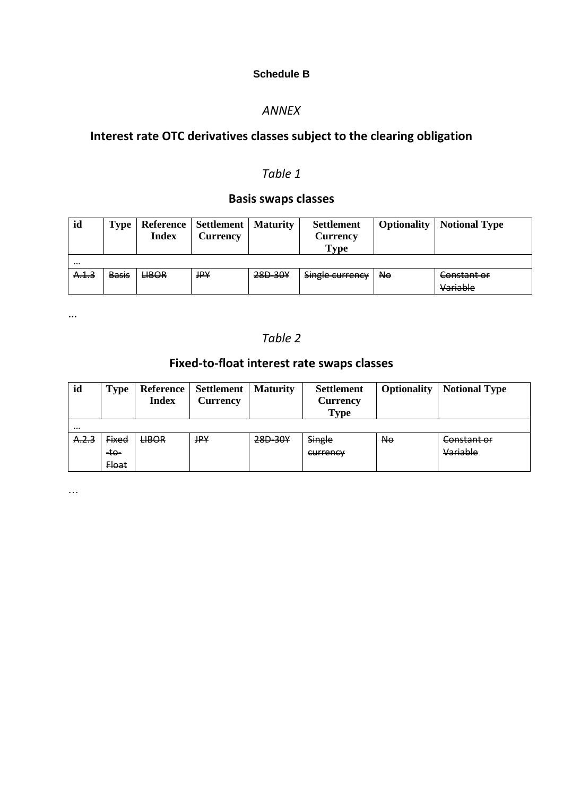### **Schedule B**

### *ANNEX*

# **Interest rate OTC derivatives classes subject to the clearing obligation**

## *Table 1*

## **Basis swaps classes**

| id       | Type         | <b>Index</b> | Reference   Settlement   Maturity<br>Currency |         | <b>Settlement</b><br><b>Currency</b><br>Type | <b>Optionality</b> | <b>Notional Type</b> |  |
|----------|--------------|--------------|-----------------------------------------------|---------|----------------------------------------------|--------------------|----------------------|--|
| $\cdots$ |              |              |                                               |         |                                              |                    |                      |  |
| A.1.3    | <b>Basis</b> | <b>LIBOR</b> | <b>JPY</b>                                    | 28D-30Y | Single currency                              | <b>No</b>          | Constant or          |  |
|          |              |              |                                               |         |                                              |                    | Variable             |  |

…

## *Table 2*

# **Fixed-to-float interest rate swaps classes**

| id       | <b>Type</b>  | <b>Reference</b><br><b>Index</b> | <b>Settlement</b>   Maturity<br><b>Currency</b> |         | <b>Settlement</b><br><b>Currency</b><br><b>Type</b> | <b>Optionality</b> | <b>Notional Type</b> |
|----------|--------------|----------------------------------|-------------------------------------------------|---------|-----------------------------------------------------|--------------------|----------------------|
| $\cdots$ |              |                                  |                                                 |         |                                                     |                    |                      |
| A.2.3    | <b>Fixed</b> | <b>LIBOR</b>                     | JPY                                             | 28D-30Y | Single                                              | N <sub>o</sub>     | Constant or          |
|          | $-10-$       |                                  |                                                 |         | currency                                            |                    | Variable             |
|          | <b>Float</b> |                                  |                                                 |         |                                                     |                    |                      |

…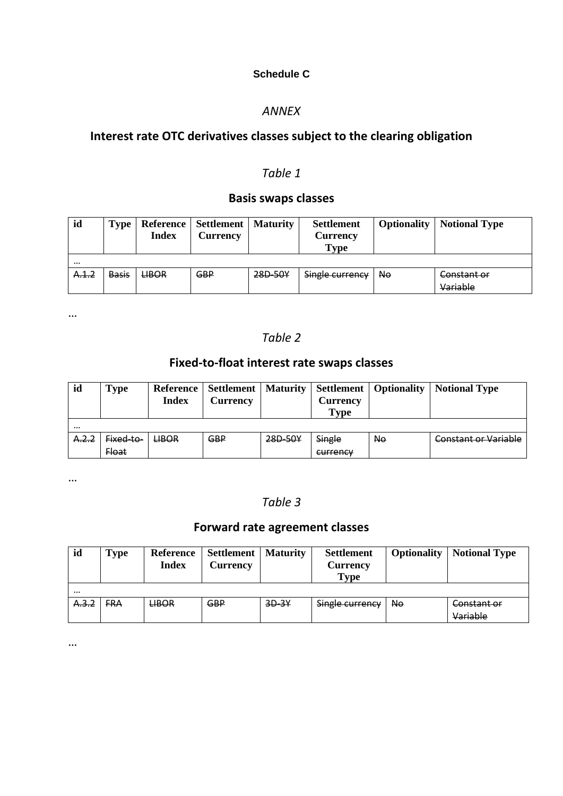### **Schedule C**

### *ANNEX*

# **Interest rate OTC derivatives classes subject to the clearing obligation**

### *Table 1*

## **Basis swaps classes**

| id       | Type         | <b>Index</b> | Reference   Settlement   Maturity<br><b>Currency</b> |         | <b>Settlement</b><br>Currency<br><b>Type</b> | <b>Optionality</b> | <b>Notional Type</b> |
|----------|--------------|--------------|------------------------------------------------------|---------|----------------------------------------------|--------------------|----------------------|
| $\cdots$ |              |              |                                                      |         |                                              |                    |                      |
| A.1.2    | <b>Basis</b> | <b>LIBOR</b> | <b>GBP</b>                                           | 28D-50Y | Single currency                              | Ne                 | Constant or          |
|          |              |              |                                                      |         |                                              |                    | Variable             |

…

### *Table 2*

## **Fixed-to-float interest rate swaps classes**

| id       | Type         | <b>Reference</b><br><b>Index</b> | <b>Settlement</b>   Maturity<br>Currency |         | Currency<br><b>Type</b> | <b>Settlement</b>   Optionality | <b>Notional Type</b>        |
|----------|--------------|----------------------------------|------------------------------------------|---------|-------------------------|---------------------------------|-----------------------------|
| $\cdots$ |              |                                  |                                          |         |                         |                                 |                             |
| A.2.2    | Fixed-to-    | <b>LIBOR</b>                     | <b>GBP</b>                               | 28D-50Y | Single                  | <b>No</b>                       | <b>Constant or Variable</b> |
|          | <b>Float</b> |                                  |                                          |         | currency                |                                 |                             |

…

### *Table 3*

## **Forward rate agreement classes**

| id       | <b>Type</b> | <b>Reference</b><br>Index | Settlement<br>Currency | <b>Maturity</b> | <b>Settlement</b><br>Currency<br>Type | <b>Optionality</b> | <b>Notional Type</b>    |
|----------|-------------|---------------------------|------------------------|-----------------|---------------------------------------|--------------------|-------------------------|
| $\cdots$ |             |                           |                        |                 |                                       |                    |                         |
| A.3.2    | <b>FRA</b>  | <b>LIBOR</b>              | <b>GBP</b>             | $3D-3Y$         | Single currency                       | No.                | Constant or<br>Variable |

…